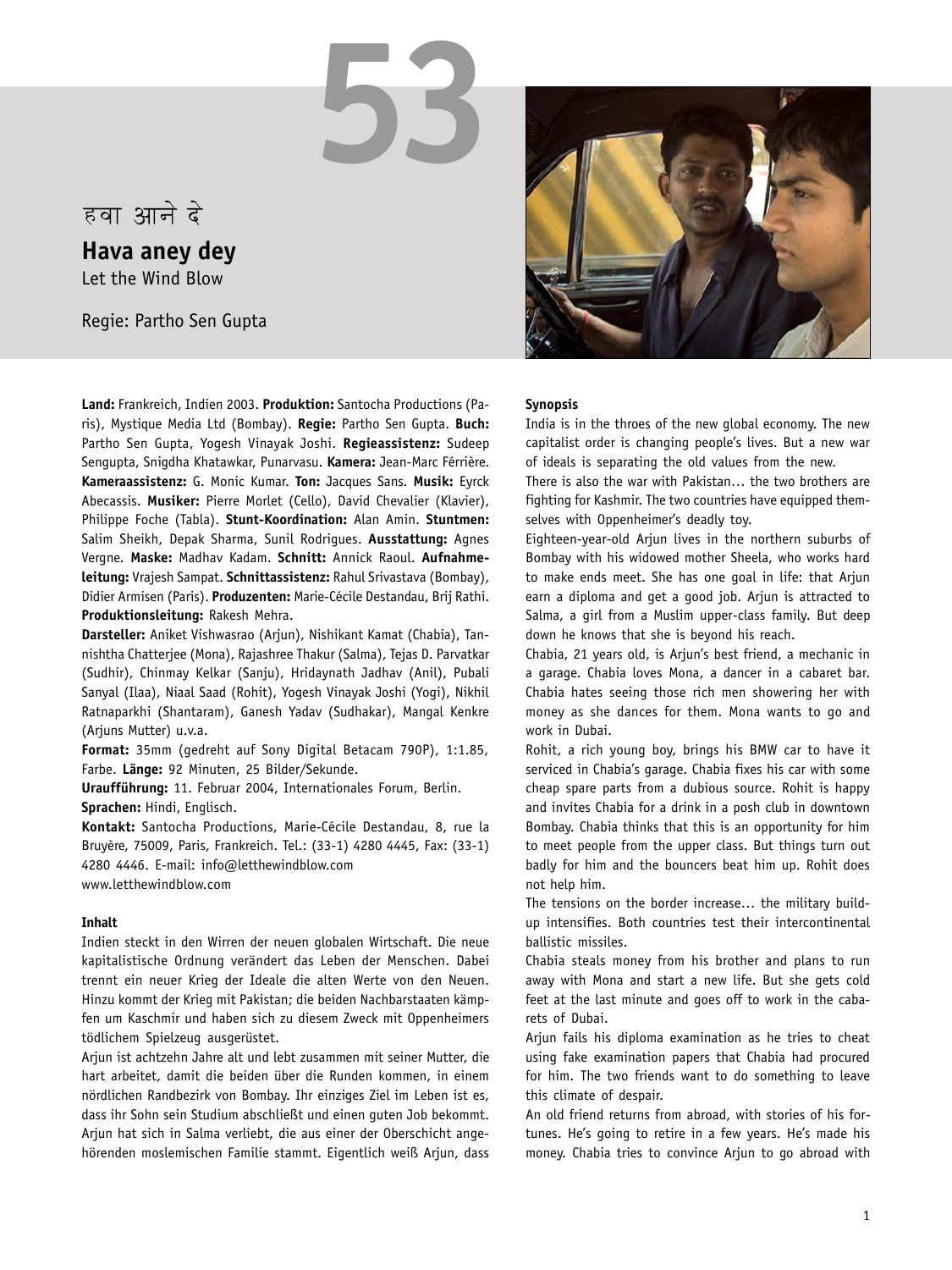# हवा आने दे

**Hava aney dey** Let the Wind Blow

Regie: Partho Sen Gupta

**Land:** Frankreich, Indien 2003. **Produktion:** Santocha Productions (Paris), Mystique Media Ltd (Bombay). **Regie:** Partho Sen Gupta. **Buch:** Partho Sen Gupta, Yogesh Vinayak Joshi. **Regieassistenz:** Sudeep Sengupta, Snigdha Khatawkar, Punarvasu. **Kamera:** Jean-Marc Férrière. **Kameraassistenz:** G. Monic Kumar. **Ton:** Jacques Sans. **Musik:** Eyrck Abecassis. **Musiker:** Pierre Morlet (Cello), David Chevalier (Klavier), Philippe Foche (Tabla). **Stunt-Koordination:** Alan Amin. **Stuntmen:** Salim Sheikh, Depak Sharma, Sunil Rodrigues. **Ausstattung:** Agnes Vergne. **Maske:** Madhav Kadam. **Schnitt:** Annick Raoul. **Aufnahmeleitung:** Vrajesh Sampat. **Schnittassistenz:** Rahul Srivastava (Bombay), Didier Armisen (Paris). **Produzenten:** Marie-Cécile Destandau, Brij Rathi. **Produktionsleitung:** Rakesh Mehra.

**53**

**Darsteller:** Aniket Vishwasrao (Arjun), Nishikant Kamat (Chabia), Tannishtha Chatterjee (Mona), Rajashree Thakur (Salma), Tejas D. Parvatkar (Sudhir), Chinmay Kelkar (Sanju), Hridaynath Jadhav (Anil), Pubali Sanyal (Ilaa), Niaal Saad (Rohit), Yogesh Vinayak Joshi (Yogi), Nikhil Ratnaparkhi (Shantaram), Ganesh Yadav (Sudhakar), Mangal Kenkre (Arjuns Mutter) u.v.a.

**Format:** 35mm (gedreht auf Sony Digital Betacam 790P), 1:1.85, Farbe. **Länge:** 92 Minuten, 25 Bilder/Sekunde.

**Uraufführung:** 11. Februar 2004, Internationales Forum, Berlin. **Sprachen:** Hindi, Englisch.

**Kontakt:** Santocha Productions, Marie-Cécile Destandau, 8, rue la Bruyère, 75009, Paris, Frankreich. Tel.: (33-1) 4280 4445, Fax: (33-1) 4280 4446. E-mail: info@letthewindblow.com

www.letthewindblow.com

### **Inhalt**

Indien steckt in den Wirren der neuen globalen Wirtschaft. Die neue kapitalistische Ordnung verändert das Leben der Menschen. Dabei trennt ein neuer Krieg der Ideale die alten Werte von den Neuen. Hinzu kommt der Krieg mit Pakistan; die beiden Nachbarstaaten kämpfen um Kaschmir und haben sich zu diesem Zweck mit Oppenheimers tödlichem Spielzeug ausgerüstet.

Arjun ist achtzehn Jahre alt und lebt zusammen mit seiner Mutter, die hart arbeitet, damit die beiden über die Runden kommen, in einem nördlichen Randbezirk von Bombay. Ihr einziges Ziel im Leben ist es, dass ihr Sohn sein Studium abschließt und einen guten Job bekommt. Arjun hat sich in Salma verliebt, die aus einer der Oberschicht angehörenden moslemischen Familie stammt. Eigentlich weiß Arjun, dass



#### **Synopsis**

India is in the throes of the new global economy. The new capitalist order is changing people's lives. But a new war of ideals is separating the old values from the new.

There is also the war with Pakistan… the two brothers are fighting for Kashmir. The two countries have equipped themselves with Oppenheimer's deadly toy.

Eighteen-year-old Arjun lives in the northern suburbs of Bombay with his widowed mother Sheela, who works hard to make ends meet. She has one goal in life: that Arjun earn a diploma and get a good job. Arjun is attracted to Salma, a girl from a Muslim upper-class family. But deep down he knows that she is beyond his reach.

Chabia, 21 years old, is Arjun's best friend, a mechanic in a garage. Chabia loves Mona, a dancer in a cabaret bar. Chabia hates seeing those rich men showering her with money as she dances for them. Mona wants to go and work in Dubai.

Rohit, a rich young boy, brings his BMW car to have it serviced in Chabia's garage. Chabia fixes his car with some cheap spare parts from a dubious source. Rohit is happy and invites Chabia for a drink in a posh club in downtown Bombay. Chabia thinks that this is an opportunity for him to meet people from the upper class. But things turn out badly for him and the bouncers beat him up. Rohit does not help him.

The tensions on the border increase… the military buildup intensifies. Both countries test their intercontinental ballistic missiles.

Chabia steals money from his brother and plans to run away with Mona and start a new life. But she gets cold feet at the last minute and goes off to work in the cabarets of Dubai.

Ariun fails his diploma examination as he tries to cheat using fake examination papers that Chabia had procured for him. The two friends want to do something to leave this climate of despair.

An old friend returns from abroad, with stories of his fortunes. He's going to retire in a few years. He's made his money. Chabia tries to convince Arjun to go abroad with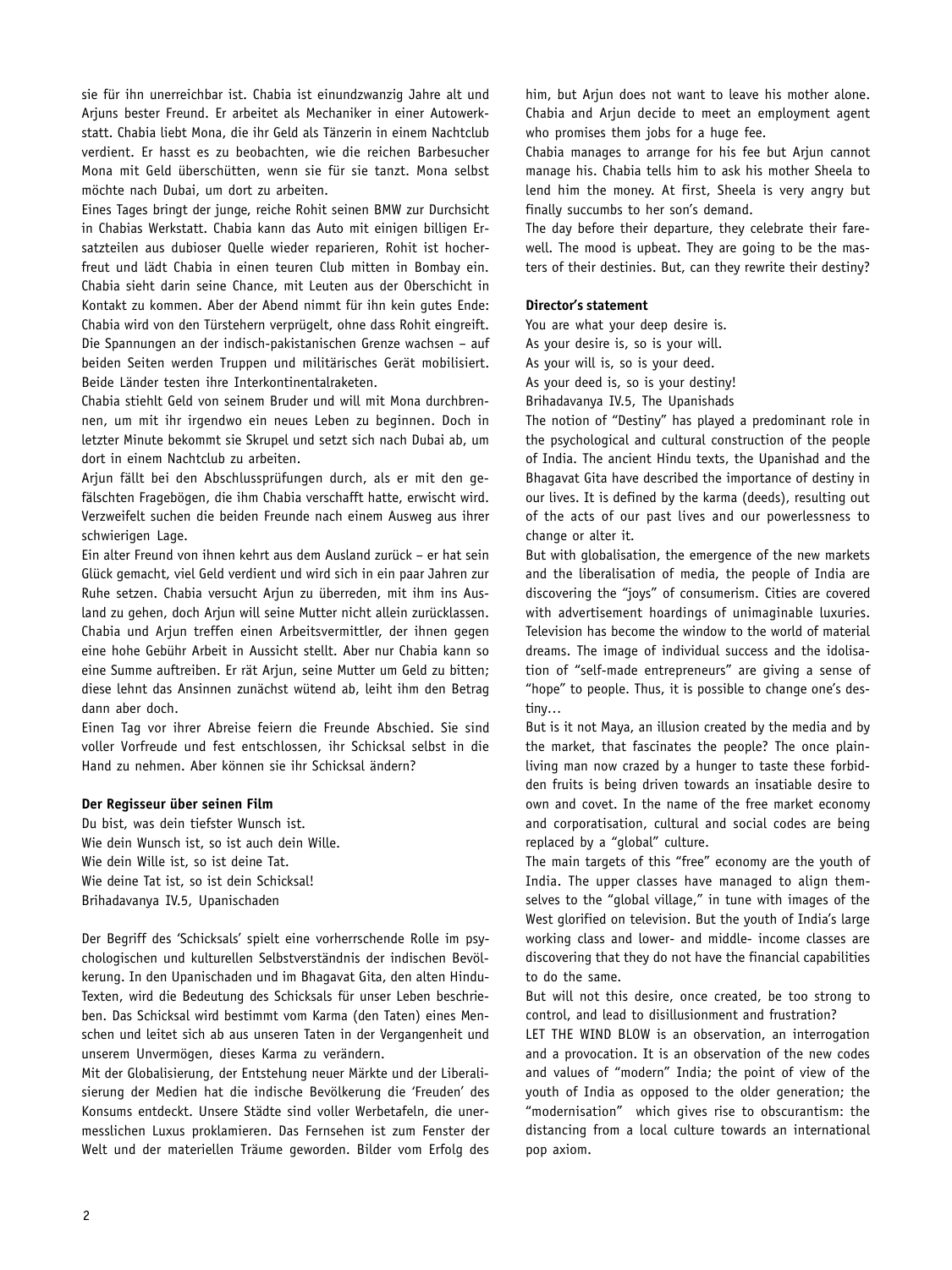sie für ihn unerreichbar ist. Chabia ist einundzwanzig Jahre alt und Arjuns bester Freund. Er arbeitet als Mechaniker in einer Autowerkstatt. Chabia liebt Mona, die ihr Geld als Tänzerin in einem Nachtclub verdient. Er hasst es zu beobachten, wie die reichen Barbesucher Mona mit Geld überschütten, wenn sie für sie tanzt. Mona selbst möchte nach Dubai, um dort zu arbeiten.

Eines Tages bringt der junge, reiche Rohit seinen BMW zur Durchsicht in Chabias Werkstatt. Chabia kann das Auto mit einigen billigen Ersatzteilen aus dubioser Quelle wieder reparieren, Rohit ist hocherfreut und lädt Chabia in einen teuren Club mitten in Bombay ein. Chabia sieht darin seine Chance, mit Leuten aus der Oberschicht in Kontakt zu kommen. Aber der Abend nimmt für ihn kein gutes Ende: Chabia wird von den Türstehern verprügelt, ohne dass Rohit eingreift. Die Spannungen an der indisch-pakistanischen Grenze wachsen – auf beiden Seiten werden Truppen und militärisches Gerät mobilisiert. Beide Länder testen ihre Interkontinentalraketen.

Chabia stiehlt Geld von seinem Bruder und will mit Mona durchbrennen, um mit ihr irgendwo ein neues Leben zu beginnen. Doch in letzter Minute bekommt sie Skrupel und setzt sich nach Dubai ab, um dort in einem Nachtclub zu arbeiten.

Arjun fällt bei den Abschlussprüfungen durch, als er mit den gefälschten Fragebögen, die ihm Chabia verschafft hatte, erwischt wird. Verzweifelt suchen die beiden Freunde nach einem Ausweg aus ihrer schwierigen Lage.

Ein alter Freund von ihnen kehrt aus dem Ausland zurück – er hat sein Glück gemacht, viel Geld verdient und wird sich in ein paar Jahren zur Ruhe setzen. Chabia versucht Arjun zu überreden, mit ihm ins Ausland zu gehen, doch Arjun will seine Mutter nicht allein zurücklassen. Chabia und Arjun treffen einen Arbeitsvermittler, der ihnen gegen eine hohe Gebühr Arbeit in Aussicht stellt. Aber nur Chabia kann so eine Summe auftreiben. Er rät Arjun, seine Mutter um Geld zu bitten; diese lehnt das Ansinnen zunächst wütend ab, leiht ihm den Betrag dann aber doch.

Einen Tag vor ihrer Abreise feiern die Freunde Abschied. Sie sind voller Vorfreude und fest entschlossen, ihr Schicksal selbst in die Hand zu nehmen. Aber können sie ihr Schicksal ändern?

#### **Der Regisseur über seinen Film**

Du bist, was dein tiefster Wunsch ist. Wie dein Wunsch ist, so ist auch dein Wille. Wie dein Wille ist, so ist deine Tat. Wie deine Tat ist, so ist dein Schicksal! Brihadavanya IV.5, Upanischaden

Der Begriff des 'Schicksals' spielt eine vorherrschende Rolle im psychologischen und kulturellen Selbstverständnis der indischen Bevölkerung. In den Upanischaden und im Bhagavat Gita, den alten Hindu-Texten, wird die Bedeutung des Schicksals für unser Leben beschrieben. Das Schicksal wird bestimmt vom Karma (den Taten) eines Menschen und leitet sich ab aus unseren Taten in der Vergangenheit und unserem Unvermögen, dieses Karma zu verändern.

Mit der Globalisierung, der Entstehung neuer Märkte und der Liberalisierung der Medien hat die indische Bevölkerung die 'Freuden' des Konsums entdeckt. Unsere Städte sind voller Werbetafeln, die unermesslichen Luxus proklamieren. Das Fernsehen ist zum Fenster der Welt und der materiellen Träume geworden. Bilder vom Erfolg des him, but Arjun does not want to leave his mother alone. Chabia and Arjun decide to meet an employment agent who promises them jobs for a huge fee.

Chabia manages to arrange for his fee but Arjun cannot manage his. Chabia tells him to ask his mother Sheela to lend him the money. At first, Sheela is very angry but finally succumbs to her son's demand.

The day before their departure, they celebrate their farewell. The mood is upbeat. They are going to be the masters of their destinies. But, can they rewrite their destiny?

#### **Director's statement**

You are what your deep desire is. As your desire is, so is your will. As your will is, so is your deed.

As your deed is, so is your destiny!

Brihadavanya IV.5, The Upanishads

The notion of "Destiny" has played a predominant role in the psychological and cultural construction of the people of India. The ancient Hindu texts, the Upanishad and the Bhagavat Gita have described the importance of destiny in our lives. It is defined by the karma (deeds), resulting out of the acts of our past lives and our powerlessness to change or alter it.

But with globalisation, the emergence of the new markets and the liberalisation of media, the people of India are discovering the "joys" of consumerism. Cities are covered with advertisement hoardings of unimaginable luxuries. Television has become the window to the world of material dreams. The image of individual success and the idolisation of "self-made entrepreneurs" are giving a sense of "hope" to people. Thus, it is possible to change one's destiny…

But is it not Maya, an illusion created by the media and by the market, that fascinates the people? The once plainliving man now crazed by a hunger to taste these forbidden fruits is being driven towards an insatiable desire to own and covet. In the name of the free market economy and corporatisation, cultural and social codes are being replaced by a "global" culture.

The main targets of this "free" economy are the youth of India. The upper classes have managed to align themselves to the "global village," in tune with images of the West glorified on television. But the youth of India's large working class and lower- and middle- income classes are discovering that they do not have the financial capabilities to do the same.

But will not this desire, once created, be too strong to control, and lead to disillusionment and frustration?

LET THE WIND BLOW is an observation, an interrogation and a provocation. It is an observation of the new codes and values of "modern" India; the point of view of the youth of India as opposed to the older generation; the "modernisation" which gives rise to obscurantism: the distancing from a local culture towards an international pop axiom.